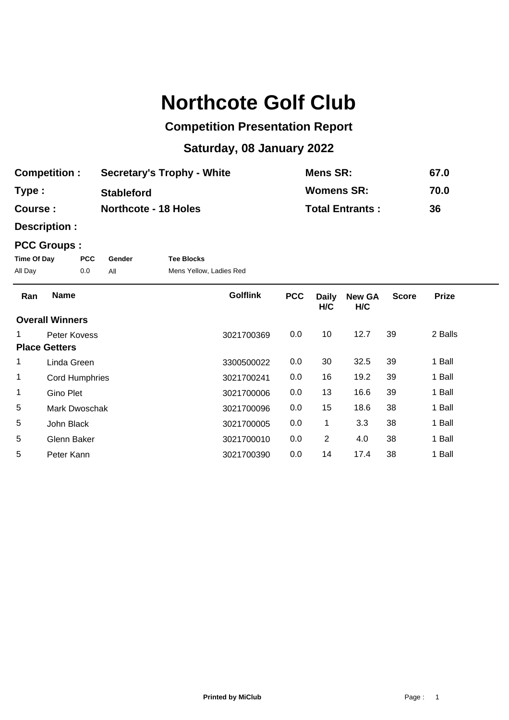# **Northcote Golf Club**

## **Competition Presentation Report**

## **Saturday, 08 January 2022**

| <b>Competition:</b> | <b>Secretary's Trophy - White</b> | <b>Mens SR:</b>        | 67.0 |
|---------------------|-----------------------------------|------------------------|------|
| Type:               | <b>Stableford</b>                 | Womens SR:             | 70.0 |
| <b>Course :</b>     | <b>Northcote - 18 Holes</b>       | <b>Total Entrants:</b> | 36   |

**Description :**

### **PCC Groups :**

| Time Of Day | <b>PCC</b> | Gender | <b>Tee Blocks</b>       |
|-------------|------------|--------|-------------------------|
| All Day     | 0.0        |        | Mens Yellow, Ladies Red |

| Ran | <b>Name</b>            | <b>Golflink</b> | <b>PCC</b> | <b>Daily</b><br>H/C | <b>New GA</b><br>H/C | <b>Score</b> | <b>Prize</b> |  |
|-----|------------------------|-----------------|------------|---------------------|----------------------|--------------|--------------|--|
|     | <b>Overall Winners</b> |                 |            |                     |                      |              |              |  |
|     | Peter Kovess           | 3021700369      | 0.0        | 10                  | 12.7                 | 39           | 2 Balls      |  |
|     | <b>Place Getters</b>   |                 |            |                     |                      |              |              |  |
| 1   | Linda Green            | 3300500022      | 0.0        | 30                  | 32.5                 | 39           | 1 Ball       |  |
| 1   | <b>Cord Humphries</b>  | 3021700241      | 0.0        | 16                  | 19.2                 | 39           | 1 Ball       |  |
| 1   | Gino Plet              | 3021700006      | 0.0        | 13                  | 16.6                 | 39           | 1 Ball       |  |
| 5   | Mark Dwoschak          | 3021700096      | 0.0        | 15                  | 18.6                 | 38           | 1 Ball       |  |
| 5   | John Black             | 3021700005      | 0.0        | 1                   | 3.3                  | 38           | 1 Ball       |  |
| 5   | Glenn Baker            | 3021700010      | 0.0        | $\overline{2}$      | 4.0                  | 38           | 1 Ball       |  |
| 5   | Peter Kann             | 3021700390      | 0.0        | 14                  | 17.4                 | 38           | 1 Ball       |  |